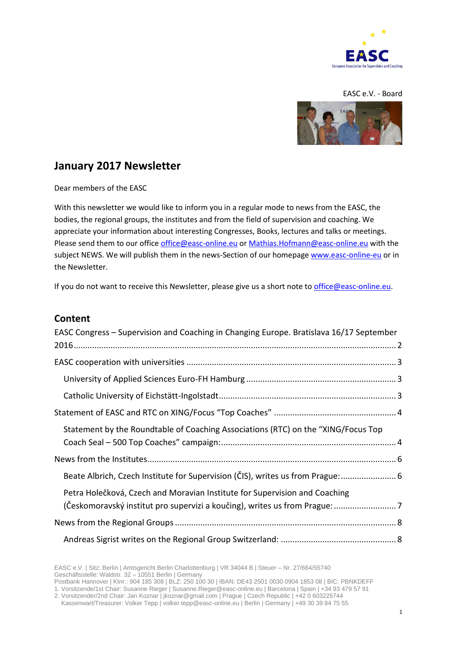

#### EASC e.V. - Board



# **January 2017 Newsletter**

Dear members of the EASC

With this newsletter we would like to inform you in a regular mode to news from the EASC, the bodies, the regional groups, the institutes and from the field of supervision and coaching. We appreciate your information about interesting Congresses, Books, lectures and talks or meetings. Please send them to our offic[e office@easc-online.eu](mailto:office@easc-online.eu) or [Mathias.Hofmann@easc-online.eu](mailto:Mathias.Hofmann@easc-online.eu) with the subject NEWS. We will publish them in the news-Section of our homepage [www.easc-online-eu](http://www.easc-online-eu/) or in the Newsletter.

If you do not want to receive this Newsletter, please give us a short note to [office@easc-online.eu.](mailto:office@easc-online.eu)

#### **Content**

| EASC Congress - Supervision and Coaching in Changing Europe. Bratislava 16/17 September |  |
|-----------------------------------------------------------------------------------------|--|
|                                                                                         |  |
|                                                                                         |  |
|                                                                                         |  |
|                                                                                         |  |
|                                                                                         |  |
| Statement by the Roundtable of Coaching Associations (RTC) on the "XING/Focus Top       |  |
|                                                                                         |  |
|                                                                                         |  |
| Beate Albrich, Czech Institute for Supervision (ČIS), writes us from Prague: 6          |  |
| Petra Holečková, Czech and Moravian Institute for Supervision and Coaching              |  |
| (Českomoravský institut pro supervizi a koučing), writes us from Prague:  7             |  |
|                                                                                         |  |
|                                                                                         |  |

EASC e.V. | Sitz: Berlin | Amtsgericht Berlin Charlottenburg | VR 34044 B | Steuer – Nr. 27/664/55740 Geschäftsstelle: Waldstr. 32 – 10551 Berlin | Germany Postbank Hannover | Ktnr.: 904 185 308 | BLZ: 250 100 30 | IBAN: DE43 2501 0030 0904 1853 08 | BIC: PBNKDEFF

1. Vorsitzende/1st Chair: Susanne Rieger | Susanne.Rieger@easc-online.eu | Barcelona | Spain | +34 93 479 57 91

2. Vorsitzender/2nd Chair: Jan Koznar | jkoznar@gmail.com | Prague | Czech Republic | +42 0 603225744

Kassenwart/Treasurer: Volker Tepp | volker.tepp@easc-online.eu | Berlin | Germany | +49 30 39 84 75 55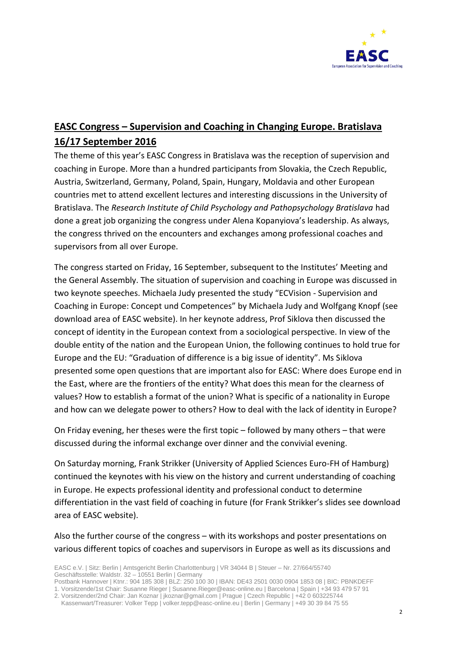

# <span id="page-1-0"></span>**EASC Congress – Supervision and Coaching in Changing Europe. Bratislava 16/17 September 2016**

The theme of this year's EASC Congress in Bratislava was the reception of supervision and coaching in Europe. More than a hundred participants from Slovakia, the Czech Republic, Austria, Switzerland, Germany, Poland, Spain, Hungary, Moldavia and other European countries met to attend excellent lectures and interesting discussions in the University of Bratislava. The *Research Institute of Child Psychology and Pathopsychology Bratislava* had done a great job organizing the congress under Alena Kopanyiova's leadership. As always, the congress thrived on the encounters and exchanges among professional coaches and supervisors from all over Europe.

The congress started on Friday, 16 September, subsequent to the Institutes' Meeting and the General Assembly. The situation of supervision and coaching in Europe was discussed in two keynote speeches. Michaela Judy presented the study "ECVision - Supervision and Coaching in Europe: Concept und Competences" by Michaela Judy and Wolfgang Knopf (see download area of EASC website). In her keynote address, Prof Siklova then discussed the concept of identity in the European context from a sociological perspective. In view of the double entity of the nation and the European Union, the following continues to hold true for Europe and the EU: "Graduation of difference is a big issue of identity". Ms Siklova presented some open questions that are important also for EASC: Where does Europe end in the East, where are the frontiers of the entity? What does this mean for the clearness of values? How to establish a format of the union? What is specific of a nationality in Europe and how can we delegate power to others? How to deal with the lack of identity in Europe?

On Friday evening, her theses were the first topic – followed by many others – that were discussed during the informal exchange over dinner and the convivial evening.

On Saturday morning, Frank Strikker (University of Applied Sciences Euro-FH of Hamburg) continued the keynotes with his view on the history and current understanding of coaching in Europe. He expects professional identity and professional conduct to determine differentiation in the vast field of coaching in future (for Frank Strikker's slides see download area of EASC website).

Also the further course of the congress – with its workshops and poster presentations on various different topics of coaches and supervisors in Europe as well as its discussions and

EASC e.V. | Sitz: Berlin | Amtsgericht Berlin Charlottenburg | VR 34044 B | Steuer – Nr. 27/664/55740 Geschäftsstelle: Waldstr. 32 – 10551 Berlin | Germany

Postbank Hannover | Ktnr.: 904 185 308 | BLZ: 250 100 30 | IBAN: DE43 2501 0030 0904 1853 08 | BIC: PBNKDEFF 1. Vorsitzende/1st Chair: Susanne Rieger | Susanne.Rieger@easc-online.eu | Barcelona | Spain | +34 93 479 57 91 2. Vorsitzender/2nd Chair: Jan Koznar | jkoznar@gmail.com | Prague | Czech Republic | +42 0 603225744

Kassenwart/Treasurer: Volker Tepp | volker.tepp@easc-online.eu | Berlin | Germany | +49 30 39 84 75 55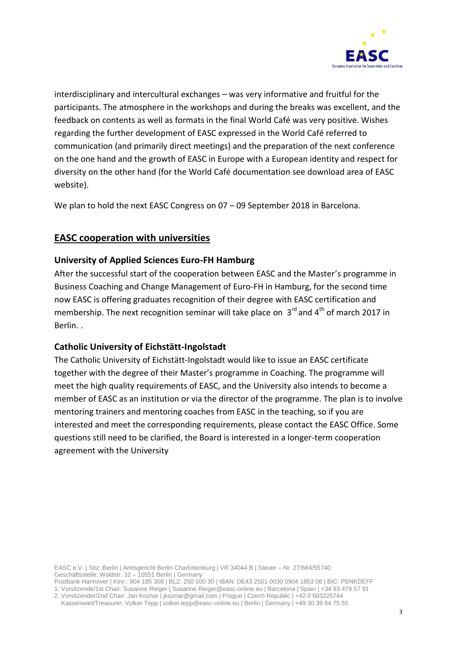

interdisciplinary and intercultural exchanges – was very informative and fruitful for the participants. The atmosphere in the workshops and during the breaks was excellent, and the feedback on contents as well as formats in the final World Café was very positive. Wishes regarding the further development of EASC expressed in the World Café referred to communication (and primarily direct meetings) and the preparation of the next conference on the one hand and the growth of EASC in Europe with a European identity and respect for diversity on the other hand (for the World Café documentation see download area of EASC website).

We plan to hold the next EASC Congress on 07 – 09 September 2018 in Barcelona.

# <span id="page-2-0"></span>**EASC cooperation with universities**

### <span id="page-2-1"></span>**University of Applied Sciences Euro-FH Hamburg**

After the successful start of the cooperation between EASC and the Master's programme in Business Coaching and Change Management of Euro-FH in Hamburg, for the second time now EASC is offering graduates recognition of their degree with EASC certification and membership. The next recognition seminar will take place on  $3^{\text{rd}}$  and 4<sup>th</sup> of march 2017 in Berlin. .

#### <span id="page-2-2"></span>**Catholic University of Eichstätt-Ingolstadt**

The Catholic University of Eichstätt-Ingolstadt would like to issue an EASC certificate together with the degree of their Master's programme in Coaching. The programme will meet the high quality requirements of EASC, and the University also intends to become a member of EASC as an institution or via the director of the programme. The plan is to involve mentoring trainers and mentoring coaches from EASC in the teaching, so if you are interested and meet the corresponding requirements, please contact the EASC Office. Some questions still need to be clarified, the Board is interested in a longer-term cooperation agreement with the University

EASC e.V. | Sitz: Berlin | Amtsgericht Berlin Charlottenburg | VR 34044 B | Steuer – Nr. 27/664/55740 Geschäftsstelle: Waldstr. 32 – 10551 Berlin | Germany

Postbank Hannover | Ktnr.: 904 185 308 | BLZ: 250 100 30 | IBAN: DE43 2501 0030 0904 1853 08 | BIC: PBNKDEFF 1. Vorsitzende/1st Chair: Susanne Rieger | Susanne.Rieger@easc-online.eu | Barcelona | Spain | +34 93 479 57 91 2. Vorsitzender/2nd Chair: Jan Koznar | jkoznar@gmail.com | Prague | Czech Republic | +42 0 603225744

Kassenwart/Treasurer: Volker Tepp | volker.tepp@easc-online.eu | Berlin | Germany | +49 30 39 84 75 55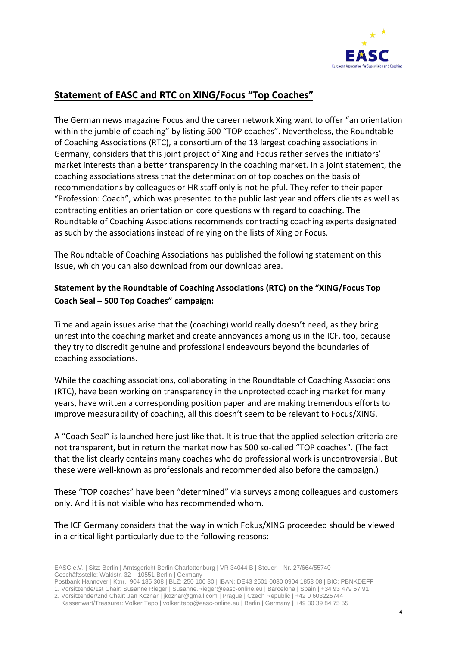

# <span id="page-3-0"></span>**Statement of EASC and RTC on XING/Focus "Top Coaches"**

The German news magazine Focus and the career network Xing want to offer "an orientation within the jumble of coaching" by listing 500 "TOP coaches". Nevertheless, the Roundtable of Coaching Associations (RTC), a consortium of the 13 largest coaching associations in Germany, considers that this joint project of Xing and Focus rather serves the initiators' market interests than a better transparency in the coaching market. In a joint statement, the coaching associations stress that the determination of top coaches on the basis of recommendations by colleagues or HR staff only is not helpful. They refer to their paper "Profession: Coach", which was presented to the public last year and offers clients as well as contracting entities an orientation on core questions with regard to coaching. The Roundtable of Coaching Associations recommends contracting coaching experts designated as such by the associations instead of relying on the lists of Xing or Focus.

The Roundtable of Coaching Associations has published the following statement on this issue, which you can also download from our download area.

# <span id="page-3-1"></span>**Statement by the Roundtable of Coaching Associations (RTC) on the "XING/Focus Top Coach Seal – 500 Top Coaches" campaign:**

Time and again issues arise that the (coaching) world really doesn't need, as they bring unrest into the coaching market and create annoyances among us in the ICF, too, because they try to discredit genuine and professional endeavours beyond the boundaries of coaching associations.

While the coaching associations, collaborating in the Roundtable of Coaching Associations (RTC), have been working on transparency in the unprotected coaching market for many years, have written a corresponding position paper and are making tremendous efforts to improve measurability of coaching, all this doesn't seem to be relevant to Focus/XING.

A "Coach Seal" is launched here just like that. It is true that the applied selection criteria are not transparent, but in return the market now has 500 so-called "TOP coaches". (The fact that the list clearly contains many coaches who do professional work is uncontroversial. But these were well-known as professionals and recommended also before the campaign.)

These "TOP coaches" have been "determined" via surveys among colleagues and customers only. And it is not visible who has recommended whom.

The ICF Germany considers that the way in which Fokus/XING proceeded should be viewed in a critical light particularly due to the following reasons:

EASC e.V. | Sitz: Berlin | Amtsgericht Berlin Charlottenburg | VR 34044 B | Steuer – Nr. 27/664/55740 Geschäftsstelle: Waldstr. 32 – 10551 Berlin | Germany

Postbank Hannover | Ktnr.: 904 185 308 | BLZ: 250 100 30 | IBAN: DE43 2501 0030 0904 1853 08 | BIC: PBNKDEFF 1. Vorsitzende/1st Chair: Susanne Rieger | Susanne.Rieger@easc-online.eu | Barcelona | Spain | +34 93 479 57 91

<sup>2.</sup> Vorsitzender/2nd Chair: Jan Koznar | jkoznar@gmail.com | Prague | Czech Republic | +42 0 603225744 Kassenwart/Treasurer: Volker Tepp | volker.tepp@easc-online.eu | Berlin | Germany | +49 30 39 84 75 55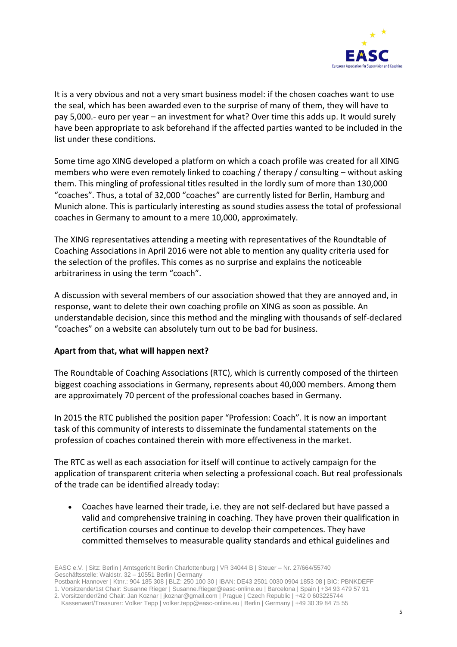

It is a very obvious and not a very smart business model: if the chosen coaches want to use the seal, which has been awarded even to the surprise of many of them, they will have to pay 5,000.- euro per year – an investment for what? Over time this adds up. It would surely have been appropriate to ask beforehand if the affected parties wanted to be included in the list under these conditions.

Some time ago XING developed a platform on which a coach profile was created for all XING members who were even remotely linked to coaching / therapy / consulting – without asking them. This mingling of professional titles resulted in the lordly sum of more than 130,000 "coaches". Thus, a total of 32,000 "coaches" are currently listed for Berlin, Hamburg and Munich alone. This is particularly interesting as sound studies assess the total of professional coaches in Germany to amount to a mere 10,000, approximately.

The XING representatives attending a meeting with representatives of the Roundtable of Coaching Associations in April 2016 were not able to mention any quality criteria used for the selection of the profiles. This comes as no surprise and explains the noticeable arbitrariness in using the term "coach".

A discussion with several members of our association showed that they are annoyed and, in response, want to delete their own coaching profile on XING as soon as possible. An understandable decision, since this method and the mingling with thousands of self-declared "coaches" on a website can absolutely turn out to be bad for business.

#### **Apart from that, what will happen next?**

The Roundtable of Coaching Associations (RTC), which is currently composed of the thirteen biggest coaching associations in Germany, represents about 40,000 members. Among them are approximately 70 percent of the professional coaches based in Germany.

In 2015 the RTC published the position paper "Profession: [Coach](http://www.roundtable-coaching.eu/wp-content/uploads/2015/03/RTC-Profession-Coach-2015-03-19-Positionspapier.pdf)". It is now an important task of this community of interests to disseminate the fundamental statements on the profession of coaches contained therein with more effectiveness in the market.

The RTC as well as each association for itself will continue to actively campaign for the application of transparent criteria when selecting a professional coach. But real professionals of the trade can be identified already today:

 Coaches have learned their trade, i.e. they are not self-declared but have passed a valid and comprehensive training in coaching. They have proven their qualification in certification courses and continue to develop their competences. They have committed themselves to measurable quality standards and ethical guidelines and

<sup>2.</sup> Vorsitzender/2nd Chair: Jan Koznar | jkoznar@gmail.com | Prague | Czech Republic | +42 0 603225744

Kassenwart/Treasurer: Volker Tepp | volker.tepp@easc-online.eu | Berlin | Germany | +49 30 39 84 75 55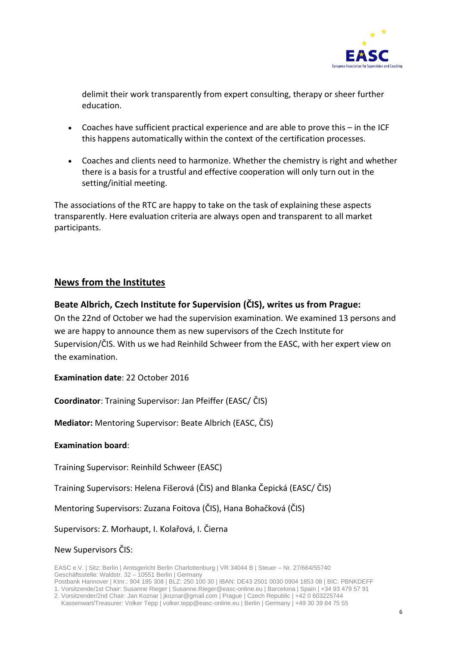

delimit their work transparently from expert consulting, therapy or sheer further education.

- Coaches have sufficient practical experience and are able to prove this in the ICF this happens automatically within the context of the certification processes.
- Coaches and clients need to harmonize. Whether the chemistry is right and whether there is a basis for a trustful and effective cooperation will only turn out in the setting/initial meeting.

The associations of the RTC are happy to take on the task of explaining these aspects transparently. Here evaluation criteria are always open and transparent to all market participants.

# <span id="page-5-0"></span>**News from the Institutes**

### <span id="page-5-1"></span>**Beate Albrich, Czech Institute for Supervision (ČIS), writes us from Prague:**

On the 22nd of October we had the supervision examination. We examined 13 persons and we are happy to announce them as new supervisors of the Czech Institute for Supervision/ČIS. With us we had Reinhild Schweer from the EASC, with her expert view on the examination.

**Examination date**: 22 October 2016

**Coordinator**: Training Supervisor: Jan Pfeiffer (EASC/ ČIS)

**Mediator:** Mentoring Supervisor: Beate Albrich (EASC, ČIS)

#### **Examination board**:

Training Supervisor: Reinhild Schweer (EASC)

Training Supervisors: Helena Fišerová (ČIS) and Blanka Čepická (EASC/ ČIS)

Mentoring Supervisors: Zuzana Foitova (ČIS), Hana Bohačková (ČIS)

Supervisors: Z. Morhaupt, I. Kolařová, I. Čierna

New Supervisors ČIS:

EASC e.V. | Sitz: Berlin | Amtsgericht Berlin Charlottenburg | VR 34044 B | Steuer – Nr. 27/664/55740 Geschäftsstelle: Waldstr. 32 – 10551 Berlin | Germany Postbank Hannover | Ktnr.: 904 185 308 | BLZ: 250 100 30 | IBAN: DE43 2501 0030 0904 1853 08 | BIC: PBNKDEFF

1. Vorsitzende/1st Chair: Susanne Rieger | Susanne.Rieger@easc-online.eu | Barcelona | Spain | +34 93 479 57 91

2. Vorsitzender/2nd Chair: Jan Koznar | jkoznar@gmail.com | Prague | Czech Republic | +42 0 603225744

Kassenwart/Treasurer: Volker Tepp | volker.tepp@easc-online.eu | Berlin | Germany | +49 30 39 84 75 55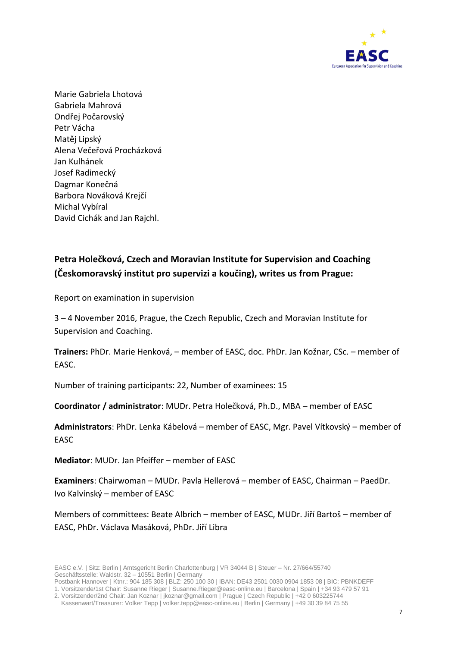

Marie Gabriela Lhotová Gabriela Mahrová Ondřej Počarovský Petr Vácha Matěj Lipský Alena Večeřová Procházková Jan Kulhánek Josef Radimecký Dagmar Konečná Barbora Nováková Krejčí Michal Vybíral David Cichák and Jan Rajchl.

# <span id="page-6-0"></span>**Petra Holečková, Czech and Moravian Institute for Supervision and Coaching (Českomoravský institut pro supervizi a koučing), writes us from Prague:**

Report on examination in supervision

3 – 4 November 2016, Prague, the Czech Republic, Czech and Moravian Institute for Supervision and Coaching.

**Trainers:** PhDr. Marie Henková, – member of EASC, doc. PhDr. Jan Kožnar, CSc. – member of EASC.

Number of training participants: 22, Number of examinees: 15

**Coordinator / administrator**: MUDr. Petra Holečková, Ph.D., MBA – member of EASC

**Administrators**: PhDr. Lenka Kábelová – member of EASC, Mgr. Pavel Vítkovský – member of **FASC** 

**Mediator**: MUDr. Jan Pfeiffer – member of EASC

**Examiners**: Chairwoman – MUDr. Pavla Hellerová – member of EASC, Chairman – PaedDr. Ivo Kalvínský – member of EASC

Members of committees: Beate Albrich – member of EASC, MUDr. Jiří Bartoš – member of EASC, PhDr. Václava Masáková, PhDr. Jiří Libra

Postbank Hannover | Ktnr.: 904 185 308 | BLZ: 250 100 30 | IBAN: DE43 2501 0030 0904 1853 08 | BIC: PBNKDEFF 1. Vorsitzende/1st Chair: Susanne Rieger | Susanne.Rieger@easc-online.eu | Barcelona | Spain | +34 93 479 57 91

<sup>2.</sup> Vorsitzender/2nd Chair: Jan Koznar | jkoznar@gmail.com | Prague | Czech Republic | +42 0 603225744 Kassenwart/Treasurer: Volker Tepp | volker.tepp@easc-online.eu | Berlin | Germany | +49 30 39 84 75 55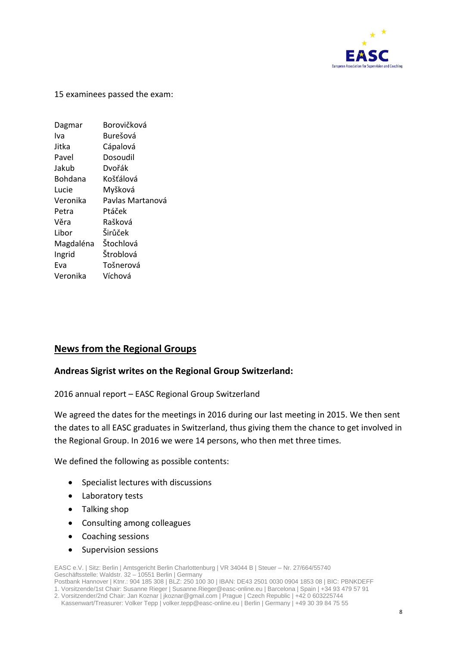

15 examinees passed the exam:

| Dagmar    | Borovičková      |
|-----------|------------------|
| Iva       | Burešová         |
| Jitka     | Cápalová         |
| Pavel     | Dosoudil         |
| Jakub     | Dvořák           |
| Bohdana   | Košťálová        |
| Lucie     | Myšková          |
| Veronika  | Pavlas Martanová |
| Petra     | Ptáček           |
| Věra      | Rašková          |
| Libor     | Širůček          |
| Magdaléna | Štochlová        |
| Ingrid    | Štroblová        |
| Eva       | Tošnerová        |
| Veronika  | Víchová          |

# <span id="page-7-0"></span>**News from the Regional Groups**

#### <span id="page-7-1"></span>**Andreas Sigrist writes on the Regional Group Switzerland:**

2016 annual report – EASC Regional Group Switzerland

We agreed the dates for the meetings in 2016 during our last meeting in 2015. We then sent the dates to all EASC graduates in Switzerland, thus giving them the chance to get involved in the Regional Group. In 2016 we were 14 persons, who then met three times.

We defined the following as possible contents:

- Specialist lectures with discussions
- Laboratory tests
- Talking shop
- Consulting among colleagues
- Coaching sessions
- Supervision sessions

EASC e.V. | Sitz: Berlin | Amtsgericht Berlin Charlottenburg | VR 34044 B | Steuer – Nr. 27/664/55740 Geschäftsstelle: Waldstr. 32 – 10551 Berlin | Germany Postbank Hannover | Ktnr.: 904 185 308 | BLZ: 250 100 30 | IBAN: DE43 2501 0030 0904 1853 08 | BIC: PBNKDEFF 1. Vorsitzende/1st Chair: Susanne Rieger | Susanne.Rieger@easc-online.eu | Barcelona | Spain | +34 93 479 57 91

2. Vorsitzender/2nd Chair: Jan Koznar | jkoznar@gmail.com | Prague | Czech Republic | +42 0 603225744 Kassenwart/Treasurer: Volker Tepp | volker.tepp@easc-online.eu | Berlin | Germany | +49 30 39 84 75 55